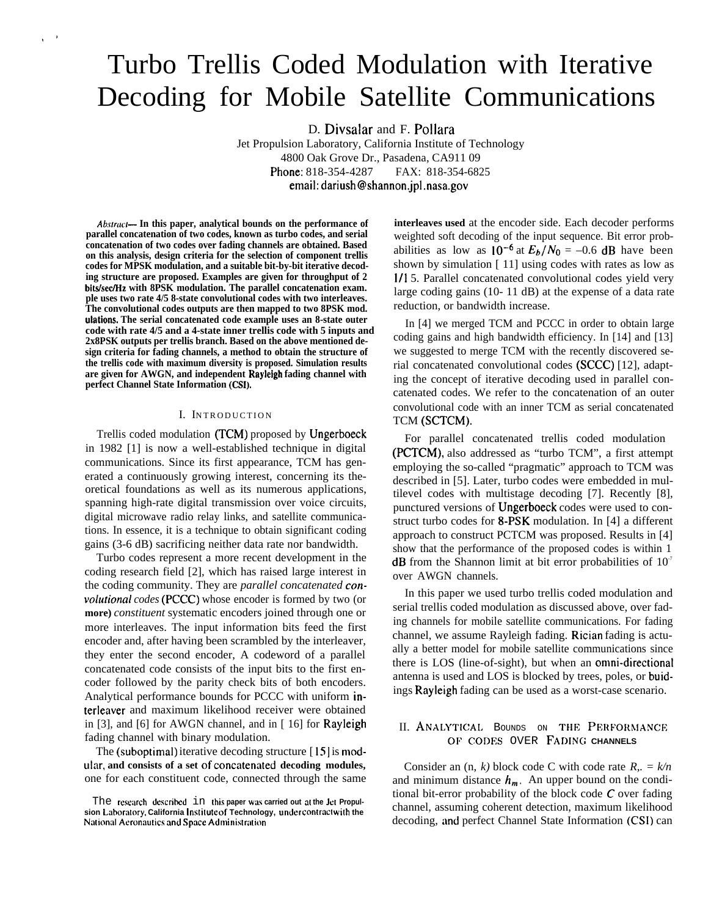# Turbo Trellis Coded Modulation with Iterative Decoding for Mobile Satellite Communications

D. Divsalar and F. Pollara

Jet Propulsion Laboratory, California Institute of Technology 4800 Oak Grove Dr., Pasadena, CA911 09 Phone: 818-354-4287 FAX: 818-354-6825 email: dariush@shannon.jpl .nasa.gov

Abstract— In this paper, analytical bounds on the performance of **parallel concatenation of two codes, known as turbo codes, and serial concatenation of two codes over fading channels are obtained. Based on this analysis, design criteria for the selection of component trellis codes for MPSK modulation, and a suitable bit-by-bit iterative decoding structure are proposed. Examples are given for throughput of 2** bits/sec/Hz with 8PSK modulation. The parallel concatenation exam. **ple uses two rate 4/5 8-state convolutional codes with two interleaves. The convolutional codes outputs are then mapped to two 8PSK mod. ulations. The serial concatenated code example uses an 8-state outer code with rate 4/5 and a 4-state inner trellis code with 5 inputs and 2x8PSK outputs per trellis branch. Based on the above mentioned design criteria for fading channels, a method to obtain the structure of the trellis code with maximum diversity is proposed. Simulation results are given for AWGN, and independent Rayleigh fading channel with perfect Channel State Information (CSI).**

,'

#### I. INTRODUCTION

Trellis coded modulation (TCM) proposed by Ungerboeck in 1982 [1] is now a well-established technique in digital communications. Since its first appearance, TCM has generated a continuously growing interest, concerning its theoretical foundations as well as its numerous applications, spanning high-rate digital transmission over voice circuits, digital microwave radio relay links, and satellite communications. In essence, it is a technique to obtain significant coding gains (3-6 dB) sacrificing neither data rate nor bandwidth.

Turbo codes represent a more recent development in the coding research field [2], which has raised large interest in the coding community. They are *parallel concatenated convolutional codes* (PCCC) whose encoder is formed by two (or **more)** *constituent* systematic encoders joined through one or more interleaves. The input information bits feed the first encoder and, after having been scrambled by the interleaver, they enter the second encoder, A codeword of a parallel concatenated code consists of the input bits to the first encoder followed by the parity check bits of both encoders. Analytical performance bounds for PCCC with uniform interleaver and maximum likelihood receiver were obtained in [3], and [6] for AWGN channel, and in [ 16] for Rayleigh fading channel with binary modulation.

The (suboptimal) iterative decoding structure  $[15]$  is modular, and consists of a set of concatenated decoding modules, one for each constituent code, connected through the same **interleaves used** at the encoder side. Each decoder performs weighted soft decoding of the input sequence. Bit error probabilities as low as  $10^{-6}$  at  $E_b/N_0 = -0.6$  dB have been shown by simulation [ 11] using codes with rates as low as 1/1 5. Parallel concatenated convolutional codes yield very large coding gains (10- 11 dB) at the expense of a data rate reduction, or bandwidth increase.

In [4] we merged TCM and PCCC in order to obtain large coding gains and high bandwidth efficiency. In [14] and [13] we suggested to merge TCM with the recently discovered serial concatenated convolutional codes (SCCC) [12], adapting the concept of iterative decoding used in parallel concatenated codes. We refer to the concatenation of an outer convolutional code with an inner TCM as serial concatenated TCM (SCTCM).

For parallel concatenated trellis coded modulation (PCTCM), also addressed as "turbo TCM", a first attempt employing the so-called "pragmatic" approach to TCM was described in [5]. Later, turbo codes were embedded in multilevel codes with multistage decoding [7]. Recently [8], punctured versions of Ungerboeck codes were used to construct turbo codes for 8-PSK modulation. In [4] a different approach to construct PCTCM was proposed. Results in [4] show that the performance of the proposed codes is within 1 **dB** from the Shannon limit at bit error probabilities of  $10<sup>7</sup>$ over AWGN channels.

In this paper we used turbo trellis coded modulation and serial trellis coded modulation as discussed above, over fading channels for mobile satellite communications. For fading channel, we assume Rayleigh fading. Rician fading is actually a better model for mobile satellite communications since there is LOS (line-of-sight), but when an onmi-directional antenna is used and LOS is blocked by trees, poles, or buidings Rayleigh fading can be used as a worst-case scenario.

## II. ANALYTICAL BOUNDS ON THE PERFORMANCE Of' CODES OVER FADING **CHANNELS**

Consider an (n, *k)* block code C with code rate *R,. = k/n* and minimum distance  $h_m$ . An upper bound on the conditional bit-error probability of the block code C over fading channel, assuming coherent detection, maximum likelihood decoding, and perfect Channel State Information (CSI) can

The research described in this paper was carried out at the Jet Propul $s$ ion Laboratory, California Institute of Technology, under contractwith the **National Aeronautics and Space Administration**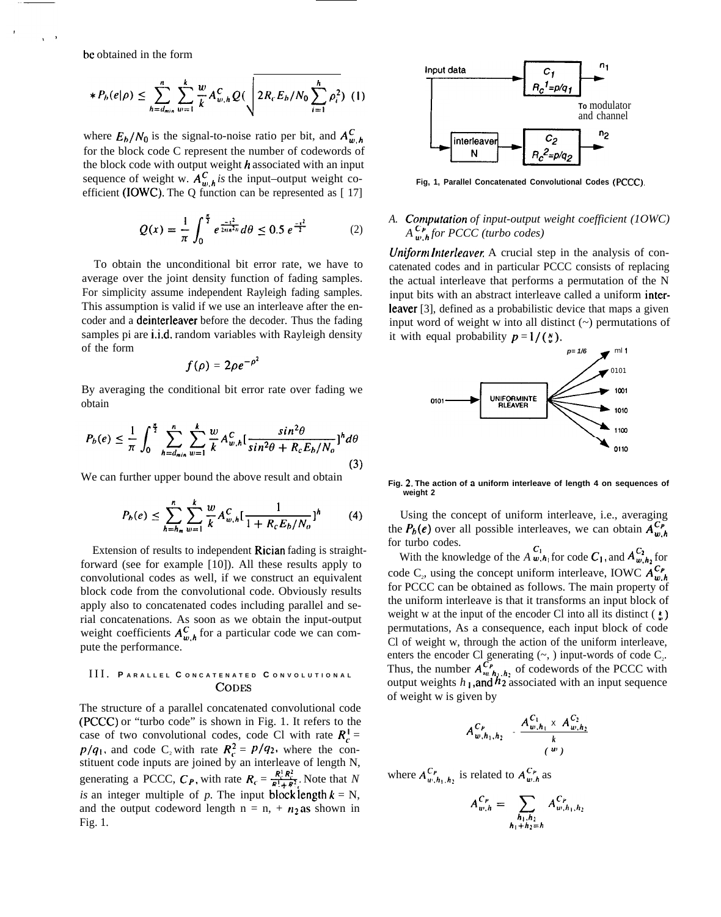bc obtained in the form

$$
*P_h(e|\rho) \leq \sum_{h=d_{min}}^n \sum_{w=1}^k \frac{w}{k} A_{w,h}^C Q(\sqrt{2R_cE_h/N_0\sum_{i=1}^h \rho_i^2})
$$
 (1)

where  $E_b/N_0$  is the signal-to-noise ratio per bit, and  $A_{w,h}^C$ for the block code C represent the number of codewords of the block code with output weight  $h$  associated with an input sequence of weight w.  $A_{m,h}^C$  is the input–output weight coefficient (IOWC). The Q function can be represented as [ 17]

$$
Q(x) = \frac{1}{\pi} \int_0^{\frac{\pi}{2}} e^{\frac{-x^2}{2\pi i \pi^2 n}} d\theta \le 0.5 e^{\frac{-x^2}{2}}
$$
 (2)

To obtain the unconditional bit error rate, we have to average over the joint density function of fading samples. For simplicity assume independent Rayleigh fading samples. This assumption is valid if we use an interleave after the encoder and a deinterleaver before the decoder. Thus the fading samples pi are i.i.d. random variables with Rayleigh density of the form

$$
f(\rho)=2\rho e^{-\rho^2}
$$

By averaging the conditional bit error rate over fading we obtain

$$
P_b(e) \leq \frac{1}{\pi} \int_0^{\frac{\pi}{2}} \sum_{h=d_{min}}^n \sum_{w=1}^k \frac{w}{k} A_{w,h}^C \left[ \frac{\sin^2 \theta}{\sin^2 \theta + R_c E_b/N_o} \right]^h d\theta \tag{3}
$$

We can further upper bound the above result and obtain

$$
P_b(e) \le \sum_{h=h_m}^{n} \sum_{w=1}^{k} \frac{w}{k} A_{w,h}^C \left[ \frac{1}{1 + R_c E_b / N_o} \right]^h \tag{4}
$$

Extension of results to independent Rician fading is straightforward (see for example [10]). All these results apply to convolutional codes as well, if we construct an equivalent block code from the convolutional code. Obviously results apply also to concatenated codes including parallel and serial concatenations. As soon as we obtain the input-output weight coefficients  $A_{w,h}^C$  for a particular code we can compute the performance.

#### III. **P ARALLEL C ONCATENATED C ONVOLUTIONA <sup>L</sup> CODES**

The structure of a parallel concatenated convolutional code (PCCC) or "turbo code" is shown in Fig. 1. It refers to the case of two convolutional codes, code Cl with rate  $R_t^1$  =  $p/q_1$ , and code C<sub>2</sub> with rate  $R_c^2 = p/q_2$ , where the constituent code inputs are joined by an interleave of length N, generating a PCCC,  $C_P$ , with rate  $R_C = \frac{R^T R^2}{R^T + R^T}$ . Note that *N is* an integer multiple of *p*. The input block length  $k = N$ , and the output codeword length  $n = n$ ,  $+n_2$  as shown in Fig. 1.



**Fig, 1, Parallel Concatenated Convolutional Codes (PCCC).**

## A. **Computation** of input-output weight coefficient (1OWC)  $A_{w,h}^{\mathbb{C}_P}$  *for PCCC* (turbo codes)

*Uniform Interleaver.* A crucial step in the analysis of concatenated codes and in particular PCCC consists of replacing the actual interleave that performs a permutation of the N input bits with an abstract interleave called a uniform interleaver [3], defined as a probabilistic device that maps a given input word of weight w into all distinct (~) permutations of it with equal probability  $p = 1/(\frac{N}{u})$ .



Fig. 2. The action of a uniform interleave of length 4 on sequences of **weight 2**

Using the concept of uniform interleave, i.e., averaging the  $P_b(e)$  over all possible interleaves, we can obtain  $A_{n}^{C_p}$ for turbo codes.

With the knowledge of the *A*  $v_{1}$ , *A*<sub>1</sub> for code *C*<sub>1</sub>, and *A*<sup>*C*<sub>1</sub><sub>*u*</sub>, *A*<sub>1</sub><sup>*c*</sup><sub>1</sub><sub>*o*</sub><sup>*C*<sub>1</sub></sup><sub>*n*</sub><sub>*n*</sub><sub>*f*</sup><sub>*n*</sub><sup>*f*</sup><sub>*n*</sub><sup>*f*</sup><sub>*n*</sub><sup>*f*</sup><sub>*n*</sub><sup>*f*</sup><sub>*n*</sub><sup>*f*</sup><sub>*n*</sub><sup>*f*</sup><sub>*n*</sub><sup>*f*</sup><sub>*n*</sub><sup>*f*</sup><sub>*n*</sub><sup>*f*</sup><sub>*n*</sub><sup></sup></sub></sup> code C<sub>2</sub>, using the concept uniform interleave, IOWC  $A_{u}^{\mathcal{L} \rho}$ for PCCC can be obtained as follows. The main property of the uniform interleave is that it transforms an input block of weight w at the input of the encoder Cl into all its distinct  $(\cdot)$ permutations, As a consequence, each input block of code Cl of weight w, through the action of the uniform interleave, enters the encoder Cl generating  $(\sim)$ , input-words of code  $C_2$ . Thus, the number  $A_{w,h_1,h_2}^{C_p}$  of codewords of the PCCC with output weights *h*<sub>1</sub>, and *h*<sub>2</sub> associated with an input sequence of weight w is given by

$$
A_{w,h_1,h_2}^{C_P} = \frac{A_{w,h_1}^{C_1} \times A_{w,h_2}^{C_2}}{k} \qquad (w)
$$

where  $A^{C_p}_{w, h_1, h_2}$  is related to  $A^{C_p}_{w, h}$  as

$$
A_{w,h}^{C_P} = \sum_{\substack{h_1,h_2\\h_1+h_2=h}} A_{w,h_1,h_2}^{C_P}
$$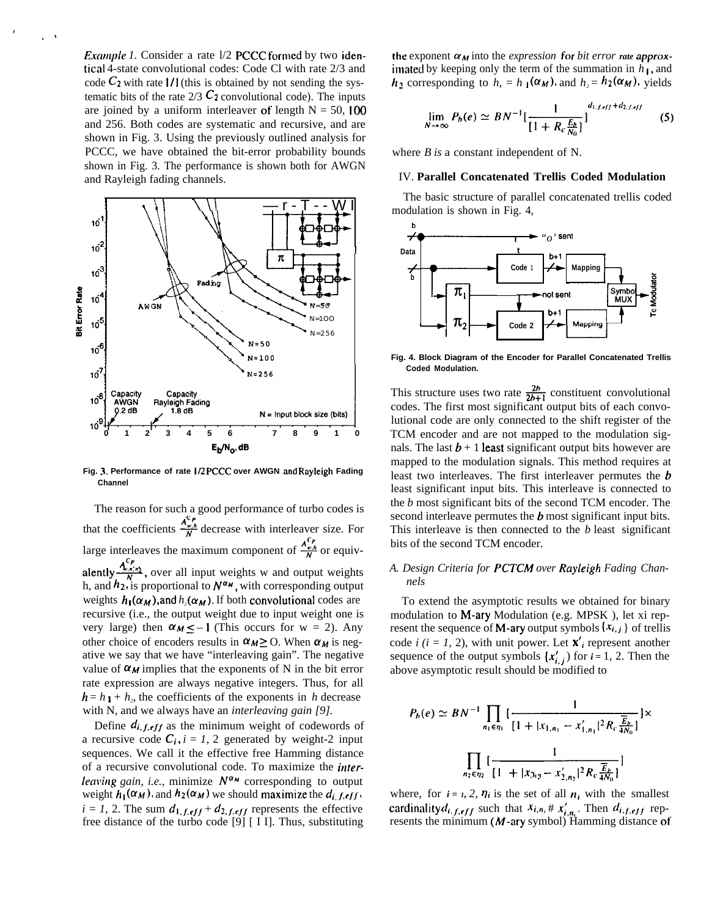*Example 1.* Consider a rate 1/2 PCCC formed by two idenical 4-state convolutional codes: Code Cl with rate 2/3 and code  $C_2$  with rate 1/1 (this is obtained by not sending the systematic bits of the rate  $2/3$  C<sub>2</sub> convolutional code). The inputs are joined by a uniform interleaver of length  $N = 50$ , 100 and 256. Both codes are systematic and recursive, and are shown in Fig. 3. Using the previously outlined analysis for PCCC, we have obtained the bit-error probability bounds shown in Fig. 3. The performance is shown both for AWGN and Rayleigh fading channels.



**Fig. 3. Performance of rate 1/2 PCCC over AWGN and Rayleigh Fading Channel**

The reason for such a good performance of turbo codes is that the coefficients  $\frac{A_{\nu,h}^{C_{\nu}}}{N}$  decrease with interleaver size. For large interleaves the maximum component of  $\frac{A_{\nu,h}^{c}}{N}$  or equiv- $A^{Cp}$ large interleaves the maximum component of  $-\frac{w_n}{N}$  or equivalently  $\frac{A_{w,n}^{C_p}}{N}$ , over all input weights w and output weights h, and  $h_2$ , is proportional to  $N^{\alpha_M}$ , with corresponding output weights  $h_1(\alpha_M)$ , and  $h_2(\alpha_M)$ . If both convolutional codes are recursive (i.e., the output weight due to input weight one is very large) then  $\alpha_M \le -1$  (This occurs for w = 2). Any other choice of encoders results in  $\alpha_M \ge 0$ . When  $\alpha_M$  is negative we say that we have "interleaving gain". The negative value of  $\alpha_M$  implies that the exponents of N in the bit error rate expression are always negative integers. Thus, for all  $h = h_1 + h_2$ , the coefficients of the exponents in *h* decrease with N, and we always have an *interleaving gain [9].*

Define  $d_{i,f,eff}$  as the minimum weight of codewords of a recursive code  $C_i$ ,  $i = 1, 2$  generated by weight-2 input sequences. We call it the effective free Hamming distance of a recursive convolutional code. To maximize the *interleaving gain, i.e.,* minimize  $N^{\alpha_{M}}$  corresponding to output weight  $h_1(\alpha_M)$ , and  $h_2(\alpha_M)$  we should maximize the  $d_i$ ,  $f, eff$ .  $i = 1, 2$ . The sum  $d_{1,f,eff} + d_{2,f,eff}$  represents the effective free distance of the turbo code [9] [ I I]. Thus, substituting

the exponent  $\alpha_M$  into the *expression* for *bit error rate* approximated by keeping only the term of the summation in *h 1,* and  $h_2$  corresponding to  $h_1 = h_1(\alpha_M)$ , and  $h_2 = h_2(\alpha_M)$ , yields

$$
\lim_{N \to \infty} P_b(e) \simeq BN^{-1} \left[ \frac{1}{\left\{1 + R_c \frac{E_b}{N_0}\right\}} \right]^{d_{1,f,eff} + d_{2,f,eff}} \tag{5}
$$

where *B* is a constant independent of N.

#### IV. **Parallel Concatenated Trellis Coded Modulation**

The basic structure of parallel concatenated trellis coded modulation is shown in Fig. 4,



**Fig. 4. Block Diagram of the Encoder for Parallel Concatenated Trellis Coded Modulation.**

This structure uses two rate  $\frac{2b}{2b+1}$  constituent convolutional codes. The first most significant output bits of each convolutional code are only connected to the shift register of the TCM encoder and are not mapped to the modulation signals. The last  $b + 1$  least significant output bits however are mapped to the modulation signals. This method requires at least two interleaves. The first interleaver permutes the **b** least significant input bits. This interleave is connected to the *b* most significant bits of the second TCM encoder. The second interleave permutes the  **most significant input bits.** This interleave is then connected to the *b* least significant bits of the second TCM encoder.

#### *A. Design Criteria for PCTCM over Rayleigh Fading Channels*

To extend the asymptotic results we obtained for binary modulation to M-ary Modulation (e.g. MPSK ), let xi represent the sequence of **M-ary** output symbols  $\{x_{i,j}\}\$  of trellis code  $i$  ( $i = 1, 2$ ), with unit power. Let  $\mathbf{x}'_i$  represent another sequence of the output symbols  $\{x'_{i,j}\}$  for  $i = 1, 2$ . Then the above asymptotic result should be modified to

$$
P_b(e) \simeq BN^{-1} \prod_{n_1 \in \eta_1} \left[ \frac{1}{[1 + |x_{1,n_1} - x'_{1,n_1}|^2 R_c \frac{\overline{E}_b}{4N_0}]} \right] \times \prod_{n_2 \in \eta_2} \left[ \frac{1}{[1 + |x_{2,n_2} - x'_{2,n_2}|^2 R_c \frac{\overline{E}_b}{4N_0}]} \right]
$$

where, for  $i = 1, 2, 7i$  is the set of all  $n_i$  with the smallest cardinality  $d_{i,f,eff}$  such that  $x_{i,n} \# x'_{i,n}$ . Then  $d_{i,f,eff}$  represents the minimum ( $M$ -ary symbol) Hamming distance of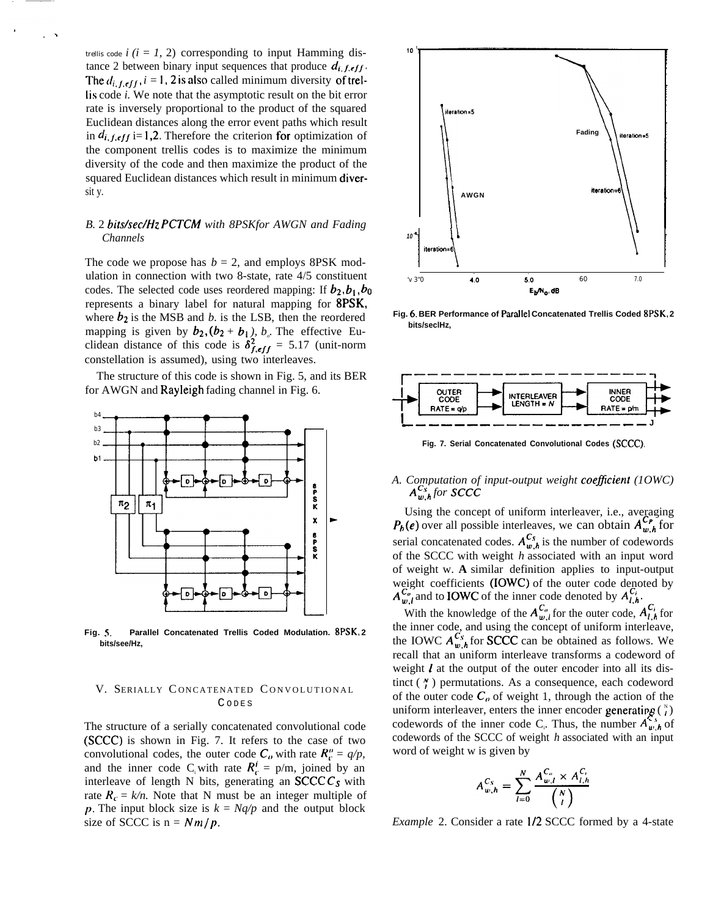trellis code  $i$  ( $i = 1, 2$ ) corresponding to input Hamming distance 2 between binary input sequences that produce  $d_i$ ,  $f$ ,  $eff$ . The  $d_{i,f,eff}$ ,  $i = 1$ , 2 is also called minimum diversity of trel-Iis code *i.* We note that the asymptotic result on the bit error rate is inversely proportional to the product of the squared Euclidean distances along the error event paths which result in  $d_{i,f,eff}$  i= 1,2. Therefore the criterion for optimization of the component trellis codes is to maximize the minimum diversity of the code and then maximize the product of the squared Euclidean distances which result in minimum diversit y.

## *B.* 2 *bitslsec\Hz PCTCM with 8PSKfor AWGN and Fading Channels*

The code we propose has  $b = 2$ , and employs 8PSK modulation in connection with two 8-state, rate 4/5 constituent codes. The selected code uses reordered mapping: If  $b_2$ ,  $b_1$ ,  $b_0$ represents a binary label for natural mapping for 8PSK, where  $b_2$  is the MSB and *b*. is the LSB, then the reordered mapping is given by  $b_2$ ,  $(b_2 + b_1)$ ,  $b_0$ . The effective Euclidean distance of this code is  $\delta^2_{\text{f,eff}} = 5.17$  (unit-norm constellation is assumed), using two interleaves.

The structure of this code is shown in Fig. 5, and its BER for AWGN and Rayleigh fading channel in Fig. 6.



**Fig. 5, Parallel Concatenated Trellis Coded Modulation. 8PSK, 2 bits/see/Hz,**

#### V. SERIALLY CONCATENATED CONVOLUTIONAL C ODE S

The structure of a serially concatenated convolutional code (SCCC) is shown in Fig. 7. It refers to the case of two convolutional codes, the outer code  $C_{\alpha}$  with rate  $R_{\alpha}^{\prime\prime} = q/p$ , and the inner code C<sub>i</sub> with rate  $R_c^i = p/m$ , joined by an interleave of length N bits, generating an  $SCCCC<sub>s</sub>$  with rate  $R_c = k/n$ . Note that N must be an integer multiple of p. The input block size is  $k = Nq/p$  and the output block size of SCCC is  $n = Nm/p$ .



**Fig. 6. BER Performance of Paratlel Concatenated Trellis Coded 8PSK, 2 bits/seclHz,**



**Fig. 7. Serial Concatenated Convolutional Codes (SCCC).**

## *A. Computation of input-output weight coeflcient (1OWC)*  $A^{C_s}_{w,h}$  for  $SCC$ *C*

Using the concept of uniform interleaver, i.e., averaging  $P_b(e)$  over all possible interleaves, we can obtain  $A_{w,h}^{\mathcal{L}_p}$  for serial concatenated codes.  $A^{C_s}_{w,h}$  is the number of codewords of the SCCC with weight *h* associated with an input word of weight w. **A** similar definition applies to input-output weight coefficients (IOWC) of the outer code denoted by  $A^{C_v}_{w,l}$  and to **IOWC** of the inner code denoted by  $A^{C_i}_{l,h}$ 

With the knowledge of the  $A^{C_i}_{w,l}$  for the outer code,  $A^{C_i}_{l,h}$  for the inner code, and using the concept of uniform interleave, the IOWC  $A^{C_s}_{w,h}$  for **SCCC** can be obtained as follows. We recall that an uniform interleave transforms a codeword of weight  $\ell$  at the output of the outer encoder into all its distinct  $(\gamma)$  permutations. As a consequence, each codeword of the outer code  $C<sub>o</sub>$  of weight 1, through the action of the uniform interleaver, enters the inner encoder generating  $\binom{N}{l}$ codewords of the inner code C<sub>i</sub>. Thus, the number  $A_{w,h}^{s,s}$  of codewords of the SCCC of weight *h* associated with an input word of weight w is given by

$$
A_{w,h}^{C_{S}} = \sum_{l=0}^{N} \frac{A_{w,l}^{C_{v}} \times A_{l,h}^{C_{i}}}{\binom{N}{l}}
$$

*Example* 2. Consider a rate I/2 SCCC formed by a 4-state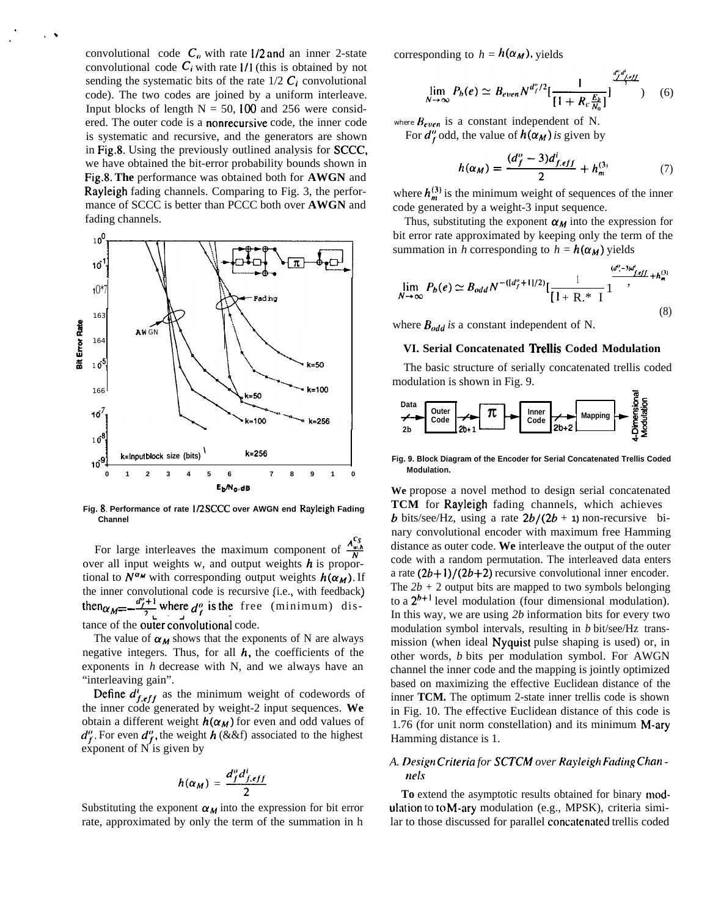convolutional code  $C_a$ , with rate 1/2 and an inner 2-state convolutional code  $C_i$  with rate  $1/1$  (this is obtained by not sending the systematic bits of the rate  $1/2$  C<sub>i</sub> convolutional code). The two codes are joined by a uniform interleave. Input blocks of length  $N = 50$ , 100 and 256 were considered. The outer code is a nonrecursive code, the inner code is systematic and recursive, and the generators are shown in Fig.8. Using the previously outlined analysis for SCCC, we have obtained the bit-error probability bounds shown in **Fig.8. The** performance was obtained both for **AWGN** and Rayleigh fading channels. Comparing to Fig. 3, the performance of SCCC is better than PCCC both over **AWGN** and fading channels.



**Fig. 8, Performance of rate 1/2 SCCC over AWGN end Rayleigh Fading Channel**

For large interleaves the maximum component of  $\frac{A_{w,n}^{x,s}}{M}$ over all input weights w, and output weights  $h$  is proportional to  $N^{\alpha_M}$  with corresponding output weights  $h(\alpha_M)$ . If<br>the inner convolutional code is recursive (i.e., with feedback) the inner convolutional code is recursive (i.e., with feedback)<br>then  $\alpha_M = -\frac{d_f^{\omega}+1}{2}$  where  $d_f^{\omega}$  is the free (minimum) distance of the outer convolutional code.

The value of  $\alpha_M$  shows that the exponents of N are always negative integers. Thus, for all  $h$ , the coefficients of the exponents in *h* decrease with N, and we always have an "interleaving gain".

Define  $d'_{f,eff}$  as the minimum weight of codewords of the inner code generated by weight-2 input sequences. **We** obtain a different weight  $h(\alpha_M)$  for even and odd values of  $d_f^o$ . For even  $d_f^o$ , the weight *h* (&&f) associated to the highest<br>exponent of N is given by<br> $h(\alpha_M) = \frac{d_f^o d_{f,eff}^i}{2}$ exponent of N is given by

$$
h(\alpha_M) = \frac{d_f^o d_{f,eff}^i}{2}
$$

Substituting the exponent  $\alpha_M$  into the expression for bit error rate, approximated by only the term of the summation in h

corresponding to  $h = h(\alpha_M)$ , yields

$$
\lim_{N \to \infty} P_b(e) \simeq B_{even} N^{d_f^o/2} \left[ \frac{1}{\left[1 + R_c \frac{E_b}{N_0}\right]} \right]^{\frac{d_f^o d_f^o}{N_0}}
$$
 (6)

where  $B_{even}$  is a constant independent of N.

For  $d_f^{\prime\prime}$  odd, the value of  $h(\alpha_M)$  is given by

$$
h(\alpha_M) = \frac{(d_f^o - 3)d_{f,eff}^l}{2} + h_m^{(3)} \tag{7}
$$

where  $h_m^{(3)}$  is the minimum weight of sequences of the inner code generated by a weight-3 input sequence.

Thus, substituting the exponent  $\alpha_M$  into the expression for bit error rate approximated by keeping only the term of the summation in *h* corresponding to  $h = h(\alpha_M)$  yields

$$
\lim_{N \to \infty} P_b(e) \simeq B_{odd} N^{-(\lfloor d_f^o + 1 \rfloor/2)} \left[ \frac{1}{\lfloor 1 + \lfloor R \rfloor^* \rfloor} \frac{d^{d^o - 3j d^l_{j,eff}}}{\lfloor 1 + \lfloor R \rfloor^* \rfloor} + h_m^{(3)} \right]
$$
\n(8)

where  $B_{odd}$  is a constant independent of N.

#### **VI. Serial Concatenated 'hellis Coded Modulation**

The basic structure of serially concatenated trellis coded



**Fig. 9. Block Diagram of the Encoder for Serial Concatenated Trellis Coded Modulation.**

**We** propose a novel method to design serial concatenated TCM for Rayleigh fading channels, which achieves **b** bits/see/Hz, using a rate  $2b/(2b + 1)$  non-recursive binary convolutional encoder with maximum free Hamming distance as outer code. **We** interleave the output of the outer code with a random permutation. The interleaved data enters a rate  $(2b+1)/(2b+2)$  recursive convolutional inner encoder. The  $2b + 2$  output bits are mapped to two symbols belonging to a  $2^{b+1}$  level modulation (four dimensional modulation). In this way, we are using *2b* information bits for every two modulation symbol intervals, resulting in *b* bit/see/Hz transmission (when ideal Nyquist pulse shaping is used) or, in other words, *b* bits per modulation symbol. For AWGN channel the inner code and the mapping is jointly optimized based on maximizing the effective Euclidean distance of the inner **TCM.** The optimum 2-state inner trellis code is shown in Fig. 10. The effective Euclidean distance of this code is 1.76 (for unit norm constellation) and its minimum M-ary Hamming distance is 1.

## *A. Design* Criteria for SCTCM over Rayleigh Fading Chan *nels*

To extend the asymptotic results obtained for binary modulation to to M-ary modulation (e.g., MPSK), criteria similar to those discussed for parallel concatenated trellis coded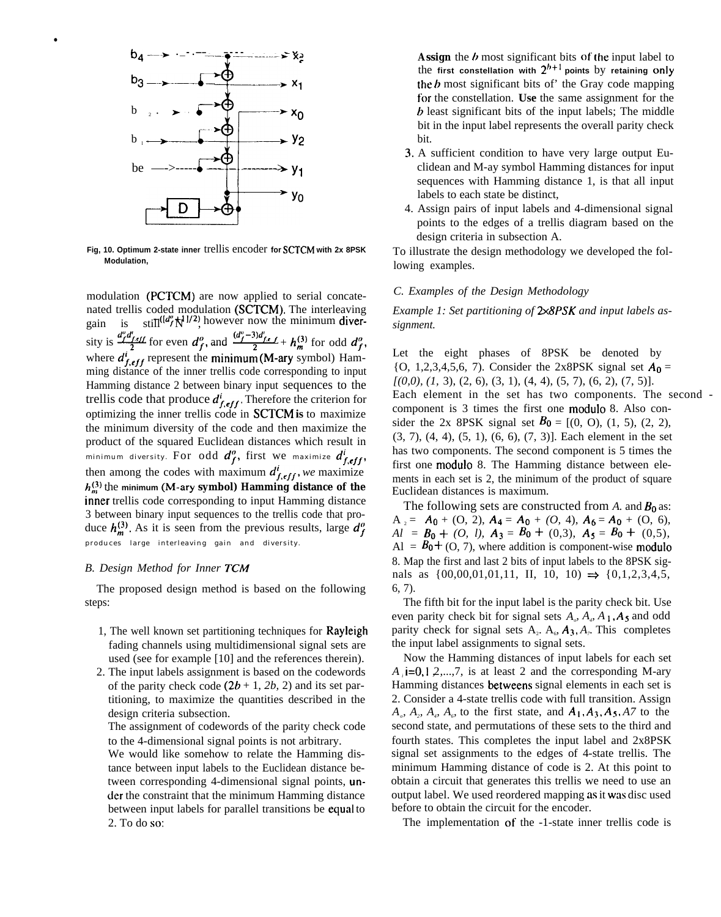

●

**Fig, 10. Optimum 2-state inner** trellis encoder **for SCTCM with 2x 8PSK Modulation,**

modulation **(PCTCM)** are now applied to serial concatenated trellis coded modulation **(SCTCM).** The interleaving gain is  $\sin^{-1}(\frac{d^{\theta}}{N})^{1/2}$  however now the minimum divernated trellis coded modulation (**SCTCM**). The interleaving<br>gain is  $\frac{st_1 \pi (d\theta, \mathbf{x} | l/2)}{2}$  however now the minimum diver-<br>sity is  $\frac{d\theta, \theta, \theta, \mu}{2}$  for even  $d_f^o$ , and  $\frac{(d\theta, -3)d\theta, \epsilon, \ell}{2} + h_m^{(3)}$  for odd  $d_f^o$ ming distance of the inner trellis code corresponding to input Hamming distance 2 between binary input sequences to the trellis code that produce  $d_{f,eff}^{i}$ . Therefore the criterion for optimizing the inner trellis code in **SCTCM is** to maximize the minimum diversity of the code and then maximize the product of the squared Euclidean distances which result in minimum diversity. For odd  $d_f^o$ , first we maximize  $d_{f,eff}^i$ , then among the codes with maximum  $d_{f,eff}^{i}$ , we maximize  $h_m^{(3)}$  the minimum (M-ary symbol) Hamming distance of the inner trellis code corresponding to input Hamming distance 3 between binary input sequences to the trellis code that produce  $h_m^{(3)}$ . As it is seen from the previous results, large  $d_f^o$ produces large interleaving gain and diversity.

#### *B. Design Method for Inner TCM*

The proposed design method is based on the following steps:

- 1, The well known set partitioning techniques for Rayleigh fading channels using multidimensional signal sets are used (see for example [10] and the references therein).
- 2. The input labels assignment is based on the codewords of the parity check code  $(2b + 1, 2b, 2)$  and its set partitioning, to maximize the quantities described in the design criteria subsection.

The assignment of codewords of the parity check code to the 4-dimensional signal points is not arbitrary.

We would like somehow to relate the Hamming distance between input labels to the Euclidean distance between corresponding 4-dimensional signal points, under the constraint that the minimum Hamming distance between input labels for parallel transitions be equal to 2. To do **SO:**

**Assign** the  $b$  most significant bits of the input label to the first constellation with  $2^{h+1}$  points by retaining only the  $b$  most significant bits of the Gray code mapping for the constellation. **Use** the same assignment for the b least significant bits of the input labels; The middle bit in the input label represents the overall parity check bit.

- 3. A sufficient condition to have very large output Euclidean and M-ay symbol Hamming distances for input sequences with Hamming distance 1, is that all input labels to each state be distinct,
- 4. Assign pairs of input labels and 4-dimensional signal points to the edges of a trellis diagram based on the design criteria in subsection A.

To illustrate the design methodology we developed the following examples.

#### *C. Examples of the Design Methodology*

*Example 1: Set partitioning of 2X8PSK and input labels assignment.*

Let the eight phases of 8PSK be denoted by { $O$ , 1,2,3,4,5,6, 7}. Consider the 2x8PSK signal set  $A_0 =$ *[(0,0), (1,* 3), (2, 6), (3, 1), (4, 4), (5, 7), (6, 2), (7, 5)]. Each element in the set has two components. The second component is 3 times the first one modulo 8. Also consider the 2x 8PSK signal set  $B_0 = [(0, 0), (1, 5), (2, 2),$ (3, 7), (4, 4), (5, 1), (6, 6), (7, 3)]. Each element in the set has two components. The second component is 5 times the first one modulo 8. The Hamming distance between elements in each set is 2, the minimum of the product of square Euclidean distances is maximum.

The following sets are constructed from  $A$ . and  $B_0$  as:  $A_2 = A_0 + (O, 2), A_4 = A_0 + (O, 4), A_6 = A_0 + (O, 6),$ *Al* =  $B_0 + (0, l)$ ,  $A_3 = B_0 + (0, 3)$ ,  $A_5 = B_0 + (0, 5)$ ,  $\text{Al} = B_0 + (O, 7)$ , where addition is component-wise **modulo** 8. Map the first and last 2 bits of input labels to the 8PSK signals as  $\{00,00,01,01,11, \text{ II}, 10, 10) \Rightarrow \{0,1,2,3,4,5,$ 6, 7).

The fifth bit for the input label is the parity check bit. Use even parity check bit for signal sets  $A_{\rho}$ ,  $A_{\rho}$ ,  $A_1$ ,  $A_5$  and odd parity check for signal sets  $A_2$ .  $A_6$ ,  $A_3$ ,  $A_7$ . This completes the input label assignments to signal sets.

Now the Hamming distances of input labels for each set *A*  $\mathbf{i} = 0, 1, 2, \ldots, 7$ , is at least 2 and the corresponding M-ary Hamming distances betweens signal elements in each set is 2. Consider a 4-state trellis code with full transition. Assign  $A_{\rho}$ ,  $A_{\rho}$ ,  $A_{\rho}$ ,  $A_{\rho}$  to the first state, and  $A_1$ ,  $A_3$ ,  $A_5$ ,  $A_7$  to the second state, and permutations of these sets to the third and fourth states. This completes the input label and 2x8PSK signal set assignments to the edges of 4-state trellis. The minimum Hamming distance of code is 2. At this point to obtain a circuit that generates this trellis we need to use an output label. We used reordered mapping as it was disc used before to obtain the circuit for the encoder.

The implementation of the -1-state inner trellis code is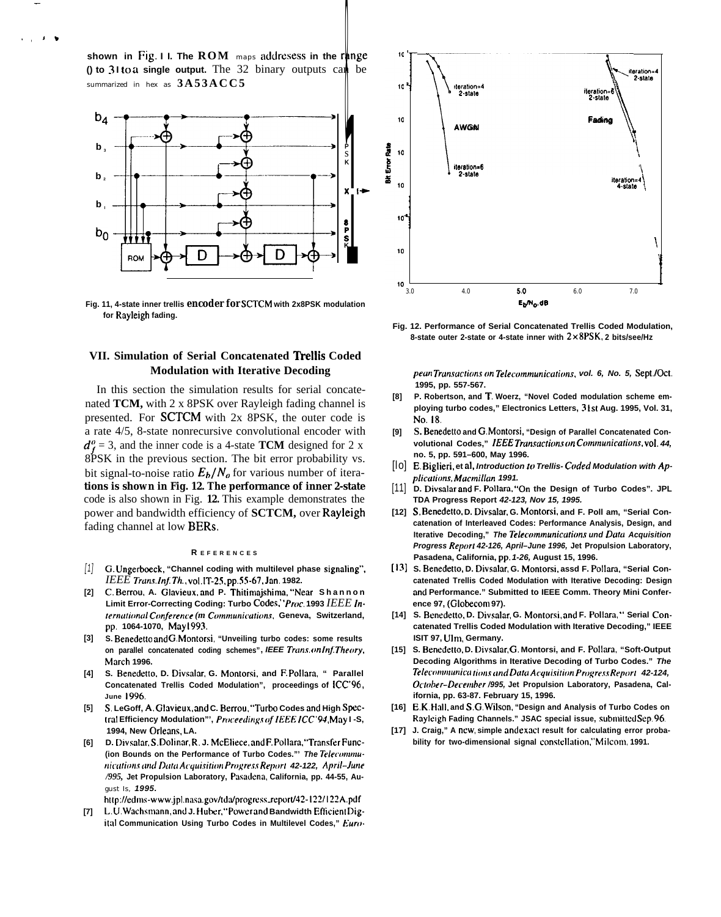**shown in Fig. I I. The ROM** maps addresess **in the range () to 31 to a single output.** The 32 binary outputs can be summarized in hex as **3A53ACC5**

—

,, **J\***



**Fig. 11, 4-state inner trellis encoder for SCTCM with 2x8PSK modulation for Rayleigh fading.**

## **VII. Simulation of Serial Concatenated 'fkellis Coded Modulation with Iterative Decoding**

In this section the simulation results for serial concatenated **TCM,** with 2 x 8PSK over Rayleigh fading channel is presented. For SCTCM with 2x 8PSK, the outer code is a rate 4/5, 8-state nonrecursive convolutional encoder with  $d_f^o = 3$ , and the inner code is a 4-state **TCM** designed for 2 x 8PSK in the previous section. The bit error probability vs. bit signal-to-noise ratio  $E_b/N_a$  for various number of itera**tions is shown in Fig. 12. The performance of inner 2-state** code is also shown in Fig. **12.** This example demonstrates the power and bandwidth efficiency of **SCTCM,** over Rayleigh fading channel at low BERs.

#### **R EFERENCE S**

- [1] **G, Ungerboeck, "Channel coding with multilevel phase signaling",** *IEEE* **Trum. ln~ Th., VOI.IT-2S, pp.55-67, Jan. 1982.**
- **[2] C, Berrou, A. Glavieux, and P. Thitimajshima, "Near Shanno n** Limit Error-Correcting Coding: Turbo Codes,''Proc. 1993 *IEEE International Conference (m Communications, Geneva, Switzerland,* **pp. 1064-1070, May 1993.**
- **[3] S. Benedetto and G. Montorsi, "Unveiling turbo codes: some results on parallel concatenated coding schemes", IEEE Truns. (m It\$ Theory, Morch 1996.**
- **[4] S. Benede(to, D. Divsdar, G. Montorsi. and F. Pollam, " Parallel Concatenated Trellis Coded Modulation", proceedings of ICC'96 , June 1996.**
- **[5]**  $S$ . LeGoff, A. Glavieux, and C. Berrou, "Turbo Codes and High Spec $t$ ral Efficiency Modulation"', Proceedings of IEEE ICC'94, May I-S, **1994, New Orlems, LA.**
- **[6] D. Divstrlar, S, Dolirmr, R. J. McEliece, and F. Pollam. "Tronsfer Func-** (ion Bounds on the Performance of Turbo Codes."' The Telecommu**tlicati(m and DaIa Acqui.titiwt fro~ress Repm( 42-122, April-Jutie** /995, Jet Propulsion Laboratory, Pasadena, California, pp. 44-55, August Is, **1995.**

http://edms-www.jpl.nasa.gov/tda/progress\_report/42-122/122A.pdf

**[7] t..U. Wtschsmimn, and J. Huher, "Power and Bandwidth Etlcient Digit:d Communication Using Turbo Codes in Multilevel Codes," Euro-**



**Fig. 12. Performance of Serial Concatenated Trellis Coded Modulation, 8-state outer 2-state or 4-state inner with 2x8PSK, 2 bits/see/Hz**

 $p$ eun Transactions on Telecommunications, vol. 6, No. 5, Sept./Oct. **1995, pp. 557-567.**

- **[8] P. Robertson, and T. Woerz, "Novel Coded modulation scheme employing turbo codes," Electronics Letters, 3 Ist Aug. 1995, Vol. 31, No. 18.**
- **[9] S. Benedetto and G. Montorsi, "Design of Parallel Concatenated Convolutional Codes," /.EEE Trun.wc/imr on Cmununicafions, voL 44, no. 5, pp. 591–600, May 1996.**
- [lo] **E. Biglieri, et al, Introduction to Trellis- Cuded Modulation with Applications, Muctnillun 1991.**
- [11] **D. Divsalar and F. Pollara, "On the Design of Turbo Codes". JPL TDA Progress Report 42-123, Nov 15, 1995.**
- **[12] S, Benedetto, D. Divsalar, G. Montorsi, and F. Poll am, "Serial Concatenation of Interleaved Codes: Performance Analysis, Design, and Iterative Decoding," The Telecommunications und Data Acquisition** Progress Report 42-126, April–June 1996, Jet Propulsion Laboratory, **Pasadena, California, pp. 1-26, August 15, 1996.**
- **[13] S. Benedetto, D. Divsalar, G. Montorsi, assd F. Potlara. "Serial Concatenated Trellis Coded Modulation with Iterative Decoding: Design** and Performance." Submitted to IEEE Comm. Theory Mini Confer**ence 97, (Globccom 97).**
- **[14] S. Bcnedetto, D. Divsalar, G. Montorsi, and F. Polhm, " Serial Concatenated Trellis Coded Modulation with Iterative Decoding," IEEE ISIT 97, Ulm, Germany.**
- **[15] S. Benedetto, D. Divsalar, G. Montorsi, and F. Poll.ara, "Soft-Output Decoding Algorithms in Iterative Decoding of Turbo Codes." The**  $Telecommunication$  *ions and Data Acquisition Progress Report 42-124,* October-December /995, Jet Propulsion Laboratory, Pasadena, Cal**ifornia, pp. 63-87. February 15, 1996.**
- **[16] E. K, Hall. and S, G. W!lson, "Design and Analysis of Turbo Codes on Rayleigh Fading Channels." JSAC special issue, submitted Sep. 96.**
- **[17] J. Craig," A new. simple and exact result for calculating error proba**bility for two-dimensional signal constellation." Milcom. 1991.